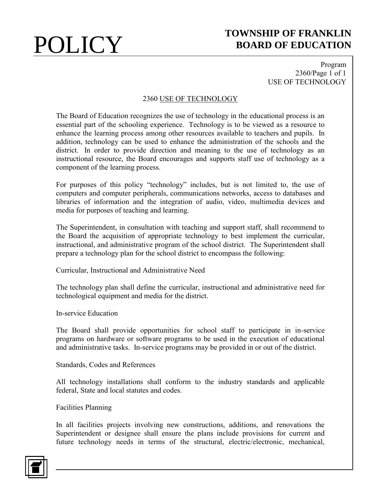Program 2360/Page 1 of 1 USE OF TECHNOLOGY

### 2360 USE OF TECHNOLOGY

The Board of Education recognizes the use of technology in the educational process is an essential part of the schooling experience. Technology is to be viewed as a resource to enhance the learning process among other resources available to teachers and pupils. In addition, technology can be used to enhance the administration of the schools and the district. In order to provide direction and meaning to the use of technology as an instructional resource, the Board encourages and supports staff use of technology as a component of the learning process.

For purposes of this policy "technology" includes, but is not limited to, the use of computers and computer peripherals, communications networks, access to databases and libraries of information and the integration of audio, video, multimedia devices and media for purposes of teaching and learning.

The Superintendent, in consultation with teaching and support staff, shall recommend to the Board the acquisition of appropriate technology to best implement the curricular, instructional, and administrative program of the school district. The Superintendent shall prepare a technology plan for the school district to encompass the following:

Curricular, Instructional and Administrative Need

The technology plan shall define the curricular, instructional and administrative need for technological equipment and media for the district.

In-service Education

The Board shall provide opportunities for school staff to participate in in-service programs on hardware or software programs to be used in the execution of educational and administrative tasks. In-service programs may be provided in or out of the district.

Standards, Codes and References

All technology installations shall conform to the industry standards and applicable federal, State and local statutes and codes.

Facilities Planning

In all facilities projects involving new constructions, additions, and renovations the Superintendent or designee shall ensure the plans include provisions for current and future technology needs in terms of the structural, electric/electronic, mechanical,

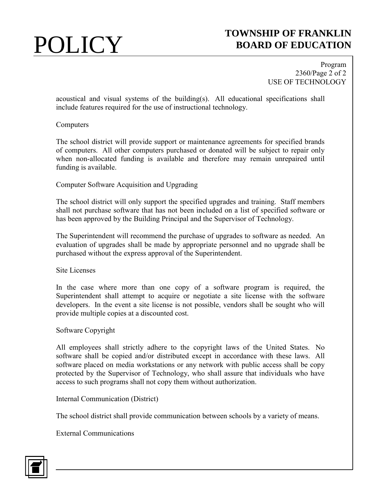Program 2360/Page 2 of 2 USE OF TECHNOLOGY

acoustical and visual systems of the building(s). All educational specifications shall include features required for the use of instructional technology.

## **Computers**

The school district will provide support or maintenance agreements for specified brands of computers. All other computers purchased or donated will be subject to repair only when non-allocated funding is available and therefore may remain unrepaired until funding is available.

Computer Software Acquisition and Upgrading

The school district will only support the specified upgrades and training. Staff members shall not purchase software that has not been included on a list of specified software or has been approved by the Building Principal and the Supervisor of Technology.

The Superintendent will recommend the purchase of upgrades to software as needed. An evaluation of upgrades shall be made by appropriate personnel and no upgrade shall be purchased without the express approval of the Superintendent.

Site Licenses

In the case where more than one copy of a software program is required, the Superintendent shall attempt to acquire or negotiate a site license with the software developers. In the event a site license is not possible, vendors shall be sought who will provide multiple copies at a discounted cost.

## Software Copyright

All employees shall strictly adhere to the copyright laws of the United States. No software shall be copied and/or distributed except in accordance with these laws. All software placed on media workstations or any network with public access shall be copy protected by the Supervisor of Technology, who shall assure that individuals who have access to such programs shall not copy them without authorization.

Internal Communication (District)

The school district shall provide communication between schools by a variety of means.

External Communications

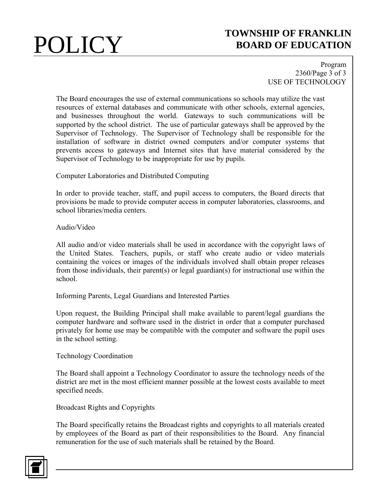Program 2360/Page 3 of 3 USE OF TECHNOLOGY

The Board encourages the use of external communications so schools may utilize the vast resources of external databases and communicate with other schools, external agencies, and businesses throughout the world. Gateways to such communications will be supported by the school district. The use of particular gateways shall be approved by the Supervisor of Technology. The Supervisor of Technology shall be responsible for the installation of software in district owned computers and/or computer systems that prevents access to gateways and Internet sites that have material considered by the Supervisor of Technology to be inappropriate for use by pupils.

Computer Laboratories and Distributed Computing

In order to provide teacher, staff, and pupil access to computers, the Board directs that provisions be made to provide computer access in computer laboratories, classrooms, and school libraries/media centers.

Audio/Video

All audio and/or video materials shall be used in accordance with the copyright laws of the United States. Teachers, pupils, or staff who create audio or video materials containing the voices or images of the individuals involved shall obtain proper releases from those individuals, their parent(s) or legal guardian(s) for instructional use within the school.

Informing Parents, Legal Guardians and Interested Parties

Upon request, the Building Principal shall make available to parent/legal guardians the computer hardware and software used in the district in order that a computer purchased privately for home use may be compatible with the computer and software the pupil uses in the school setting.

## Technology Coordination

The Board shall appoint a Technology Coordinator to assure the technology needs of the district are met in the most efficient manner possible at the lowest costs available to meet specified needs.

Broadcast Rights and Copyrights

The Board specifically retains the Broadcast rights and copyrights to all materials created by employees of the Board as part of their responsibilities to the Board. Any financial remuneration for the use of such materials shall be retained by the Board.

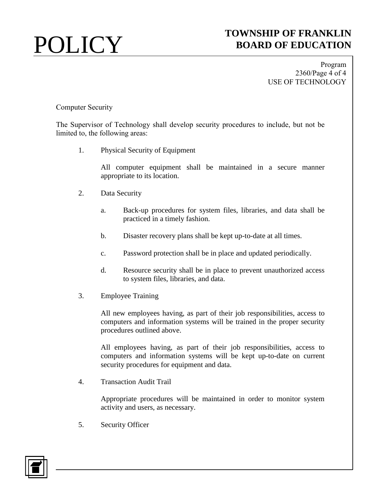# POLICY **TOWNSHIP OF FRANKLIN**<br>BOARD OF EDUCATION **BOARD OF EDUCATION**

Program 2360/Page 4 of 4 USE OF TECHNOLOGY

## Computer Security

The Supervisor of Technology shall develop security procedures to include, but not be limited to, the following areas:

1. Physical Security of Equipment

All computer equipment shall be maintained in a secure manner appropriate to its location.

- 2. Data Security
	- a. Back-up procedures for system files, libraries, and data shall be practiced in a timely fashion.
	- b. Disaster recovery plans shall be kept up-to-date at all times.
	- c. Password protection shall be in place and updated periodically.
	- d. Resource security shall be in place to prevent unauthorized access to system files, libraries, and data.
- 3. Employee Training

All new employees having, as part of their job responsibilities, access to computers and information systems will be trained in the proper security procedures outlined above.

All employees having, as part of their job responsibilities, access to computers and information systems will be kept up-to-date on current security procedures for equipment and data.

4. Transaction Audit Trail

Appropriate procedures will be maintained in order to monitor system activity and users, as necessary.

5. Security Officer